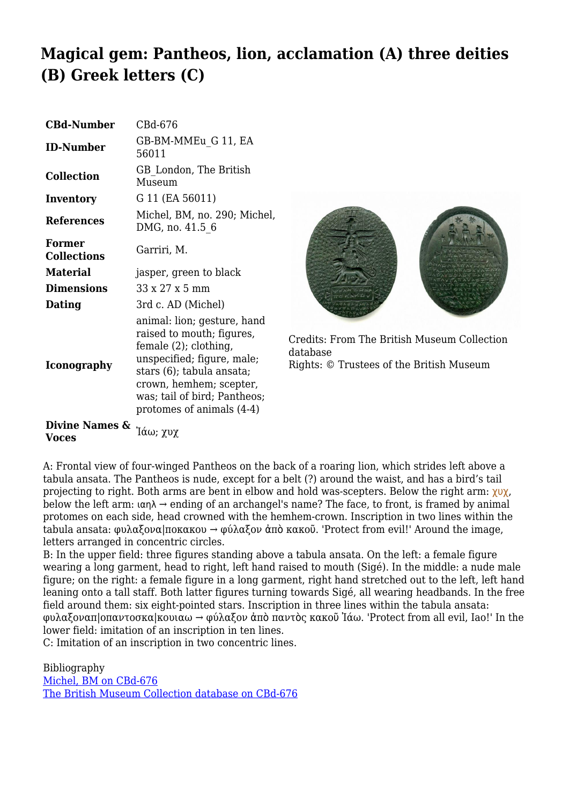## **Magical gem: Pantheos, lion, acclamation (A) three deities (B) Greek letters (C)**

| <b>CBd-Number</b>            | CBd-676                                                                                                                                                                                                                              |
|------------------------------|--------------------------------------------------------------------------------------------------------------------------------------------------------------------------------------------------------------------------------------|
| <b>ID-Number</b>             | GB-BM-MMEu G 11, EA<br>56011                                                                                                                                                                                                         |
| <b>Collection</b>            | GB London, The British<br>Museum                                                                                                                                                                                                     |
| Inventory                    | G 11 (EA 56011)                                                                                                                                                                                                                      |
| <b>References</b>            | Michel, BM, no. 290; Michel,<br>DMG, no. 41.5 6                                                                                                                                                                                      |
| Former<br><b>Collections</b> | Garriri, M.                                                                                                                                                                                                                          |
| <b>Material</b>              | jasper, green to black                                                                                                                                                                                                               |
| Dimensions                   | 33 x 27 x 5 mm                                                                                                                                                                                                                       |
| Dating                       | 3rd c. AD (Michel)                                                                                                                                                                                                                   |
| Iconography                  | animal: lion; gesture, hand<br>raised to mouth; figures,<br>female (2); clothing,<br>unspecified; figure, male;<br>stars (6); tabula ansata;<br>crown, hemhem; scepter,<br>was; tail of bird; Pantheos;<br>protomes of animals (4-4) |



Credits: From The British Museum Collection database Rights: © Trustees of the British Museum

**Divine Names & Voces** Ἰάω; χυχ

A: Frontal view of four-winged Pantheos on the back of a roaring lion, which strides left above a tabula ansata. The Pantheos is nude, except for a belt (?) around the waist, and has a bird's tail projecting to right. Both arms are bent in elbow and hold was-scepters. Below the right arm:  $\gamma \nu \chi$ , below the left arm:  $\alpha n \lambda \rightarrow$  ending of an archangel's name? The face, to front, is framed by animal protomes on each side, head crowned with the hemhem-crown. Inscription in two lines within the tabula ansata: φυλαξονα|ποκακου → φύλαξον ἀπὸ κακοῦ. 'Protect from evil!' Around the image, letters arranged in concentric circles.

B: In the upper field: three figures standing above a tabula ansata. On the left: a female figure wearing a long garment, head to right, left hand raised to mouth (Sigé). In the middle: a nude male figure; on the right: a female figure in a long garment, right hand stretched out to the left, left hand leaning onto a tall staff. Both latter figures turning towards Sigé, all wearing headbands. In the free field around them: six eight-pointed stars. Inscription in three lines within the tabula ansata: φυλαξοναπ|οπαντοσκα|κουιαω → φύλαξον ἀπὸ παντὸς κακοῦ Ἰάω. 'Protect from all evil, Iao!' In the lower field: imitation of an inscription in ten lines.

C: Imitation of an inscription in two concentric lines.

Bibliography [Michel, BM on CBd-676](http://cbd.mfab.hu/pandecta/421) [The British Museum Collection database on CBd-676](http://www.britishmuseum.org/research/search_the_collection_database/search_object_details.aspx?objectid=61635&partid=1&searchText=Michel+2001+290&fromADBC=ad&toADBC=ad&numpages=10&orig=%2fresearch%2fsearch_the_collection_database.aspx¤tPage=1)